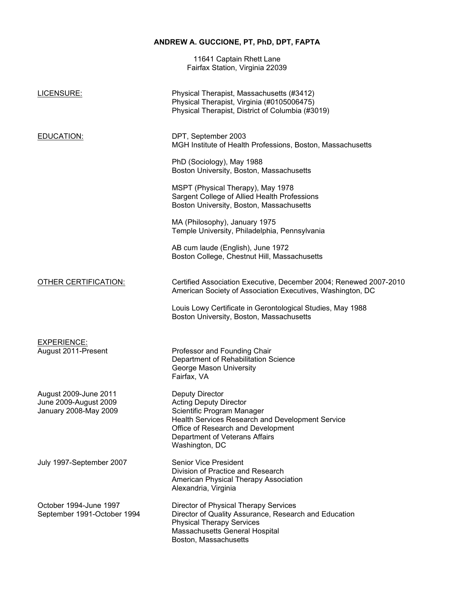# **ANDREW A. GUCCIONE, PT, PhD, DPT, FAPTA**

11641 Captain Rhett Lane Fairfax Station, Virginia 22039

| LICENSURE:                                                              | Physical Therapist, Massachusetts (#3412)<br>Physical Therapist, Virginia (#0105006475)<br>Physical Therapist, District of Columbia (#3019)                                                                                         |
|-------------------------------------------------------------------------|-------------------------------------------------------------------------------------------------------------------------------------------------------------------------------------------------------------------------------------|
| <b>EDUCATION:</b>                                                       | DPT, September 2003<br>MGH Institute of Health Professions, Boston, Massachusetts                                                                                                                                                   |
|                                                                         | PhD (Sociology), May 1988<br>Boston University, Boston, Massachusetts                                                                                                                                                               |
|                                                                         | MSPT (Physical Therapy), May 1978<br>Sargent College of Allied Health Professions<br>Boston University, Boston, Massachusetts                                                                                                       |
|                                                                         | MA (Philosophy), January 1975<br>Temple University, Philadelphia, Pennsylvania                                                                                                                                                      |
|                                                                         | AB cum laude (English), June 1972<br>Boston College, Chestnut Hill, Massachusetts                                                                                                                                                   |
| OTHER CERTIFICATION:                                                    | Certified Association Executive, December 2004; Renewed 2007-2010<br>American Society of Association Executives, Washington, DC                                                                                                     |
|                                                                         | Louis Lowy Certificate in Gerontological Studies, May 1988<br>Boston University, Boston, Massachusetts                                                                                                                              |
| <b>EXPERIENCE:</b>                                                      |                                                                                                                                                                                                                                     |
| August 2011-Present                                                     | Professor and Founding Chair<br>Department of Rehabilitation Science<br>George Mason University<br>Fairfax, VA                                                                                                                      |
| August 2009-June 2011<br>June 2009-August 2009<br>January 2008-May 2009 | <b>Deputy Director</b><br><b>Acting Deputy Director</b><br>Scientific Program Manager<br>Health Services Research and Development Service<br>Office of Research and Development<br>Department of Veterans Affairs<br>Washington, DC |
| July 1997-September 2007                                                | <b>Senior Vice President</b><br>Division of Practice and Research<br>American Physical Therapy Association<br>Alexandria, Virginia                                                                                                  |
| October 1994-June 1997<br>September 1991-October 1994                   | Director of Physical Therapy Services<br>Director of Quality Assurance, Research and Education<br><b>Physical Therapy Services</b><br>Massachusetts General Hospital<br>Boston, Massachusetts                                       |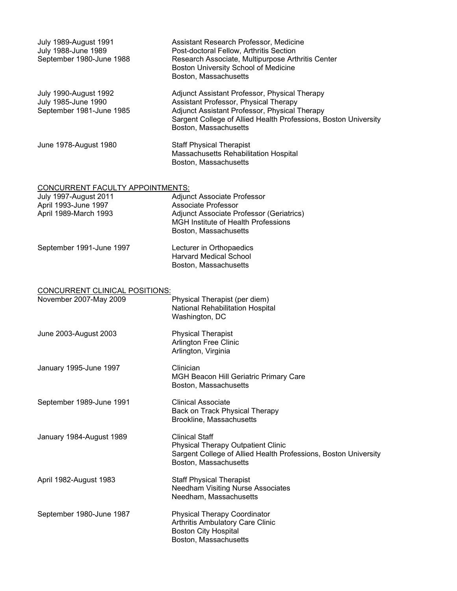| <b>July 1989-August 1991</b><br>July 1988-June 1989<br>September 1980-June 1988 | Assistant Research Professor, Medicine<br>Post-doctoral Fellow, Arthritis Section<br>Research Associate, Multipurpose Arthritis Center<br>Boston University School of Medicine<br>Boston, Massachusetts                             |
|---------------------------------------------------------------------------------|-------------------------------------------------------------------------------------------------------------------------------------------------------------------------------------------------------------------------------------|
| July 1990-August 1992<br>July 1985-June 1990<br>September 1981-June 1985        | Adjunct Assistant Professor, Physical Therapy<br>Assistant Professor, Physical Therapy<br>Adjunct Assistant Professor, Physical Therapy<br>Sargent College of Allied Health Professions, Boston University<br>Boston, Massachusetts |
| June 1978-August 1980                                                           | <b>Staff Physical Therapist</b><br>Massachusetts Rehabilitation Hospital<br>Boston, Massachusetts                                                                                                                                   |
| <b>CONCURRENT FACULTY APPOINTMENTS:</b>                                         |                                                                                                                                                                                                                                     |
| <b>July 1997-August 2011</b>                                                    | Adjunct Associate Professor                                                                                                                                                                                                         |
| April 1993-June 1997<br>April 1989-March 1993                                   | Associate Professor<br>Adjunct Associate Professor (Geriatrics)<br><b>MGH Institute of Health Professions</b><br>Boston, Massachusetts                                                                                              |
| September 1991-June 1997                                                        | Lecturer in Orthopaedics<br><b>Harvard Medical School</b><br>Boston, Massachusetts                                                                                                                                                  |
| <b>CONCURRENT CLINICAL POSITIONS:</b>                                           |                                                                                                                                                                                                                                     |
| November 2007-May 2009                                                          | Physical Therapist (per diem)<br>National Rehabilitation Hospital<br>Washington, DC                                                                                                                                                 |
| June 2003-August 2003                                                           | <b>Physical Therapist</b><br><b>Arlington Free Clinic</b><br>Arlington, Virginia                                                                                                                                                    |
| January 1995-June 1997                                                          | Clinician<br>MGH Beacon Hill Geriatric Primary Care<br>Boston, Massachusetts                                                                                                                                                        |
| September 1989-June 1991                                                        | <b>Clinical Associate</b><br>Back on Track Physical Therapy<br>Brookline, Massachusetts                                                                                                                                             |
| January 1984-August 1989                                                        | <b>Clinical Staff</b><br><b>Physical Therapy Outpatient Clinic</b><br>Sargent College of Allied Health Professions, Boston University<br>Boston, Massachusetts                                                                      |
| April 1982-August 1983                                                          | <b>Staff Physical Therapist</b><br><b>Needham Visiting Nurse Associates</b><br>Needham, Massachusetts                                                                                                                               |
| September 1980-June 1987                                                        | <b>Physical Therapy Coordinator</b><br>Arthritis Ambulatory Care Clinic<br><b>Boston City Hospital</b><br>Boston, Massachusetts                                                                                                     |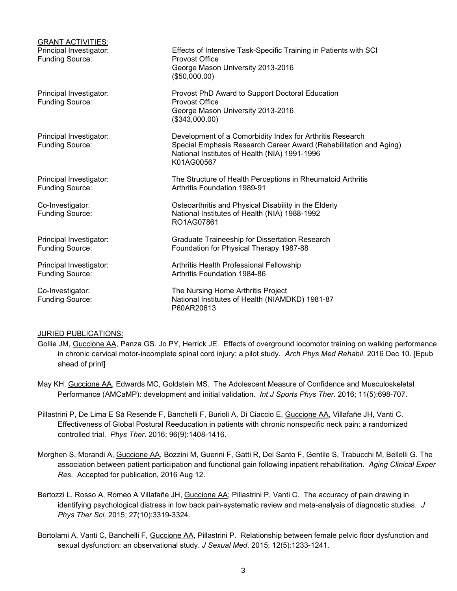| <b>GRANT ACTIVITIES:</b><br>Principal Investigator:<br><b>Funding Source:</b> | Effects of Intensive Task-Specific Training in Patients with SCI<br><b>Provost Office</b><br>George Mason University 2013-2016<br>(\$50,000.00)                                               |
|-------------------------------------------------------------------------------|-----------------------------------------------------------------------------------------------------------------------------------------------------------------------------------------------|
| Principal Investigator:<br><b>Funding Source:</b>                             | Provost PhD Award to Support Doctoral Education<br><b>Provost Office</b><br>George Mason University 2013-2016<br>(\$343,000.00)                                                               |
| Principal Investigator:<br><b>Funding Source:</b>                             | Development of a Comorbidity Index for Arthritis Research<br>Special Emphasis Research Career Award (Rehabilitation and Aging)<br>National Institutes of Health (NIA) 1991-1996<br>K01AG00567 |
| Principal Investigator:<br><b>Funding Source:</b>                             | The Structure of Health Perceptions in Rheumatoid Arthritis<br><b>Arthritis Foundation 1989-91</b>                                                                                            |
| Co-Investigator:<br><b>Funding Source:</b>                                    | Osteoarthritis and Physical Disability in the Elderly<br>National Institutes of Health (NIA) 1988-1992<br>RO1AG07861                                                                          |
| Principal Investigator:<br><b>Funding Source:</b>                             | Graduate Traineeship for Dissertation Research<br>Foundation for Physical Therapy 1987-88                                                                                                     |
| Principal Investigator:<br><b>Funding Source:</b>                             | Arthritis Health Professional Fellowship<br>Arthritis Foundation 1984-86                                                                                                                      |
| Co-Investigator:<br><b>Funding Source:</b>                                    | The Nursing Home Arthritis Project<br>National Institutes of Health (NIAMDKD) 1981-87<br>P60AR20613                                                                                           |

# JURIED PUBLICATIONS:

- Gollie JM, Guccione AA, Panza GS. Jo PY, Herrick JE. Effects of overground locomotor training on walking performance in chronic cervical motor-incomplete spinal cord injury: a pilot study. *Arch Phys Med Rehabil*. 2016 Dec 10. [Epub ahead of print]
- May KH, Guccione AA, Edwards MC, Goldstein MS. The Adolescent Measure of Confidence and Musculoskeletal Performance (AMCaMP): development and initial validation. *Int J Sports Phys Ther*. 2016; 11(5):698-707.
- Pillastrini P, De Lima E Sá Resende F, Banchelli F, Burioli A, Di Ciaccio E, Guccione AA, Villafañe JH, Vanti C. Effectiveness of Global Postural Reeducation in patients with chronic nonspecific neck pain: a randomized controlled trial. *Phys Ther*. 2016; 96(9):1408-1416.
- Morghen S, Morandi A, Guccione AA, Bozzini M, Guerini F, Gatti R, Del Santo F, Gentile S, Trabucchi M, Bellelli G. The association between patient participation and functional gain following inpatient rehabilitation. *Aging Clinical Exper Res*. Accepted for publication, 2016 Aug 12.
- Bertozzi L, Rosso A, Romeo A Villafañe JH, Guccione AA; Pillastrini P, Vanti C. The accuracy of pain drawing in identifying psychological distress in low back pain-systematic review and meta-analysis of diagnostic studies. *J Phys Ther Sci,* 2015; 27(10):3319-3324.
- Bortolami A, Vanti C, Banchelli F, Guccione AA, Pillastrini P. Relationship between female pelvic floor dysfunction and sexual dysfunction: an observational study. *J Sexual Med*, 2015; 12(5):1233-1241.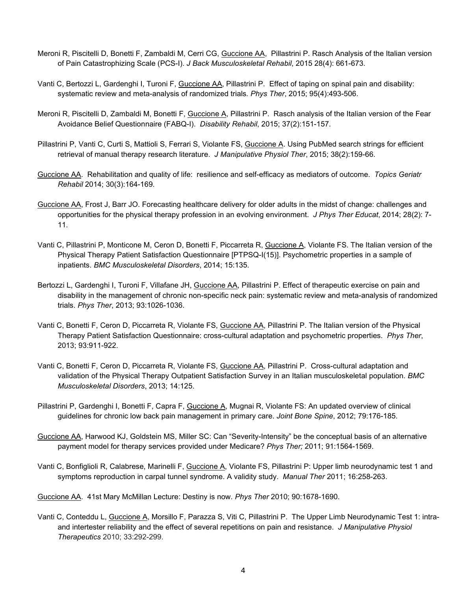- Meroni R, Piscitelli D, Bonetti F, Zambaldi M, Cerri CG, Guccione AA, Pillastrini P. Rasch Analysis of the Italian version of Pain Catastrophizing Scale (PCS-I). *J Back Musculoskeletal Rehabil*, 2015 28(4): 661-673.
- Vanti C, Bertozzi L, Gardenghi I, Turoni F, Guccione AA, Pillastrini P. Effect of taping on spinal pain and disability: systematic review and meta-analysis of randomized trials*. Phys Ther*, 2015; 95(4):493-506.
- Meroni R, Piscitelli D, Zambaldi M, Bonetti F, Guccione A, Pillastrini P. Rasch analysis of the Italian version of the Fear Avoidance Belief Questionnaire (FABQ-I). *Disability Rehabil*, 2015; 37(2):151-157.
- Pillastrini P, Vanti C, Curti S, Mattioli S, Ferrari S, Violante FS, Guccione A. Using PubMed search strings for efficient retrieval of manual therapy research literature. *J Manipulative Physiol Ther*, 2015; 38(2):159-66.
- Guccione AA. Rehabilitation and quality of life: resilience and self-efficacy as mediators of outcome. *Topics Geriatr Rehabil* 2014; 30(3):164-169.
- Guccione AA, Frost J, Barr JO. Forecasting healthcare delivery for older adults in the midst of change: challenges and opportunities for the physical therapy profession in an evolving environment. *J Phys Ther Educat*, 2014; 28(2): 7- 11.
- Vanti C, Pillastrini P, Monticone M, Ceron D, Bonetti F, Piccarreta R, Guccione A, Violante FS. The Italian version of the Physical Therapy Patient Satisfaction Questionnaire [PTPSQ-I(15)]. Psychometric properties in a sample of inpatients. *BMC Musculoskeletal Disorders*, 2014; 15:135.
- Bertozzi L, Gardenghi I, Turoni F, Villafane JH, Guccione AA, Pillastrini P. Effect of therapeutic exercise on pain and disability in the management of chronic non-specific neck pain: systematic review and meta-analysis of randomized trials. *Phys Ther*, 2013; 93:1026-1036.
- Vanti C, Bonetti F, Ceron D, Piccarreta R, Violante FS, Guccione AA, Pillastrini P. The Italian version of the Physical Therapy Patient Satisfaction Questionnaire: cross-cultural adaptation and psychometric properties. *Phys Ther*, 2013; 93:911-922.
- Vanti C, Bonetti F, Ceron D, Piccarreta R, Violante FS, Guccione AA, Pillastrini P. Cross-cultural adaptation and validation of the Physical Therapy Outpatient Satisfaction Survey in an Italian musculoskeletal population. *BMC Musculoskeletal Disorders*, 2013; 14:125.
- Pillastrini P, Gardenghi I, Bonetti F, Capra F, Guccione A, Mugnai R, Violante FS: An updated overview of clinical guidelines for chronic low back pain management in primary care. *Joint Bone Spine*, 2012; 79:176-185.
- Guccione AA, Harwood KJ, Goldstein MS, Miller SC: Can "Severity-Intensity" be the conceptual basis of an alternative payment model for therapy services provided under Medicare? *Phys Ther;* 2011; 91:1564-1569.
- Vanti C, Bonfiglioli R, Calabrese, Marinelli F, Guccione A, Violante FS, Pillastrini P: Upper limb neurodynamic test 1 and symptoms reproduction in carpal tunnel syndrome. A validity study. *Manual Ther* 2011; 16:258-263.

Guccione AA. 41st Mary McMillan Lecture: Destiny is now. *Phys Ther* 2010; 90:1678-1690.

Vanti C, Conteddu L, Guccione A, Morsillo F, Parazza S, Viti C, Pillastrini P. The Upper Limb Neurodynamic Test 1: intraand intertester reliability and the effect of several repetitions on pain and resistance. *J Manipulative Physiol Therapeutics* 2010; 33:292-299.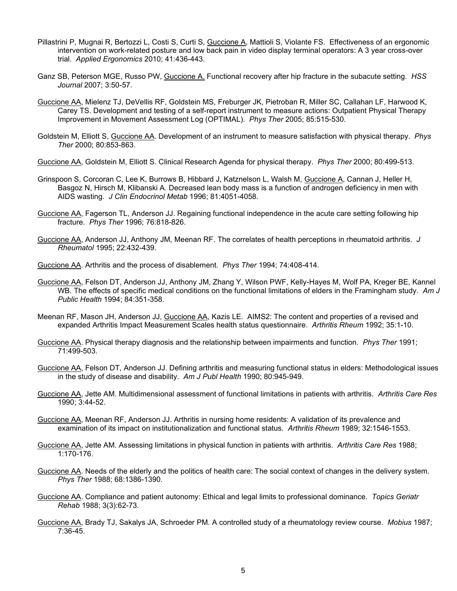- Pillastrini P, Mugnai R, Bertozzi L, Costi S, Curti S, Guccione A, Mattioli S, Violante FS. Effectiveness of an ergonomic intervention on work-related posture and low back pain in video display terminal operators: A 3 year cross-over trial. *Applied Ergonomics* 2010; 41:436-443.
- Ganz SB, Peterson MGE, Russo PW, Guccione A. Functional recovery after hip fracture in the subacute setting. *HSS Journal* 2007; 3:50-57.
- Guccione AA, Mielenz TJ, DeVellis RF, Goldstein MS, Freburger JK, Pietroban R, Miller SC, Callahan LF, Harwood K, Carey TS. Development and testing of a self-report instrument to measure actions: Outpatient Physical Therapy Improvement in Movement Assessment Log (OPTIMAL). *Phys Ther* 2005; 85:515-530.
- Goldstein M, Elliott S, Guccione AA. Development of an instrument to measure satisfaction with physical therapy. *Phys Ther* 2000; 80:853-863.
- Guccione AA, Goldstein M, Elliott S. Clinical Research Agenda for physical therapy. *Phys Ther* 2000; 80:499-513.
- Grinspoon S, Corcoran C, Lee K, Burrows B, Hibbard J, Katznelson L, Walsh M, Guccione A, Cannan J, Heller H, Basgoz N, Hirsch M, Klibanski A. Decreased lean body mass is a function of androgen deficiency in men with AIDS wasting. *J Clin Endocrinol Metab* 1996; 81:4051-4058.
- Guccione AA, Fagerson TL, Anderson JJ. Regaining functional independence in the acute care setting following hip fracture. *Phys Ther* 1996; 76:818-826.
- Guccione AA, Anderson JJ, Anthony JM, Meenan RF. The correlates of health perceptions in rheumatoid arthritis. *J Rheumatol* 1995; 22:432-439.
- Guccione AA. Arthritis and the process of disablement. *Phys Ther* 1994; 74:408-414.
- Guccione AA, Felson DT, Anderson JJ, Anthony JM, Zhang Y, Wilson PWF, Kelly-Hayes M, Wolf PA, Kreger BE, Kannel WB. The effects of specific medical conditions on the functional limitations of elders in the Framingham study. *Am J Public Health* 1994; 84:351-358.
- Meenan RF, Mason JH, Anderson JJ, Guccione AA, Kazis LE. AIMS2: The content and properties of a revised and expanded Arthritis Impact Measurement Scales health status questionnaire. *Arthritis Rheum* 1992; 35:1-10.
- Guccione AA. Physical therapy diagnosis and the relationship between impairments and function. *Phys Ther* 1991; 71:499-503.
- Guccione AA, Felson DT, Anderson JJ. Defining arthritis and measuring functional status in elders: Methodological issues in the study of disease and disability. *Am J Publ Health* 1990; 80:945-949.
- Guccione AA, Jette AM. Multidimensional assessment of functional limitations in patients with arthritis. *Arthritis Care Res* 1990; 3:44-52.
- Guccione AA, Meenan RF, Anderson JJ. Arthritis in nursing home residents: A validation of its prevalence and examination of its impact on institutionalization and functional status. *Arthritis Rheum* 1989; 32:1546-1553.
- Guccione AA, Jette AM. Assessing limitations in physical function in patients with arthritis. *Arthritis Care Res* 1988; 1:170-176.
- Guccione AA. Needs of the elderly and the politics of health care: The social context of changes in the delivery system. *Phys Ther* 1988; 68:1386-1390.
- Guccione AA. Compliance and patient autonomy: Ethical and legal limits to professional dominance. *Topics Geriatr Rehab* 1988; 3(3):62-73.
- Guccione AA, Brady TJ, Sakalys JA, Schroeder PM. A controlled study of a rheumatology review course. *Mobius* 1987; 7:36-45.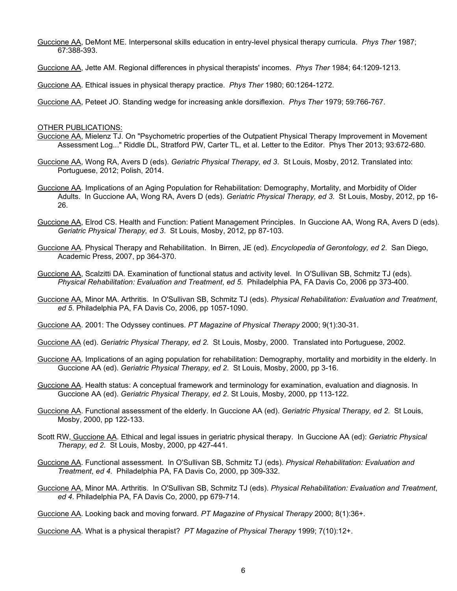- Guccione AA, DeMont ME. Interpersonal skills education in entry-level physical therapy curricula. *Phys Ther* 1987; 67:388-393.
- Guccione AA, Jette AM. Regional differences in physical therapists' incomes. *Phys Ther* 1984; 64:1209-1213.

Guccione AA. Ethical issues in physical therapy practice. *Phys Ther* 1980; 60:1264-1272.

Guccione AA, Peteet JO. Standing wedge for increasing ankle dorsiflexion. *Phys Ther* 1979; 59:766-767.

#### OTHER PUBLICATIONS:

- Guccione AA, Mielenz TJ. On "Psychometric properties of the Outpatient Physical Therapy Improvement in Movement Assessment Log..." Riddle DL, Stratford PW, Carter TL, et al. Letter to the Editor. Phys Ther 2013; 93:672-680.
- Guccione AA, Wong RA, Avers D (eds). *Geriatric Physical Therapy, ed 3*. St Louis, Mosby, 2012. Translated into: Portuguese, 2012; Polish, 2014.
- Guccione AA. Implications of an Aging Population for Rehabilitation: Demography, Mortality, and Morbidity of Older Adults. In Guccione AA, Wong RA, Avers D (eds). *Geriatric Physical Therapy, ed 3*. St Louis, Mosby, 2012, pp 16- 26.
- Guccione AA, Elrod CS. Health and Function: Patient Management Principles. In Guccione AA, Wong RA, Avers D (eds). *Geriatric Physical Therapy, ed 3*. St Louis, Mosby, 2012, pp 87-103.
- Guccione AA. Physical Therapy and Rehabilitation. In Birren, JE (ed). *Encyclopedia of Gerontology, ed 2*. San Diego, Academic Press, 2007, pp 364-370.
- Guccione AA, Scalzitti DA. Examination of functional status and activity level. In O'Sullivan SB, Schmitz TJ (eds). *Physical Rehabilitation: Evaluation and Treatment*, *ed 5*. Philadelphia PA, FA Davis Co, 2006 pp 373-400.
- Guccione AA, Minor MA. Arthritis. In O'Sullivan SB, Schmitz TJ (eds). *Physical Rehabilitation: Evaluation and Treatment*, *ed 5*. Philadelphia PA, FA Davis Co, 2006, pp 1057-1090.
- Guccione AA. 2001: The Odyssey continues. *PT Magazine of Physical Therapy* 2000; 9(1):30-31.
- Guccione AA (ed). *Geriatric Physical Therapy, ed 2*. St Louis, Mosby, 2000. Translated into Portuguese, 2002.
- Guccione AA. Implications of an aging population for rehabilitation: Demography, mortality and morbidity in the elderly. In Guccione AA (ed). *Geriatric Physical Therapy, ed 2*. St Louis, Mosby, 2000, pp 3-16.
- Guccione AA. Health status: A conceptual framework and terminology for examination, evaluation and diagnosis. In Guccione AA (ed). *Geriatric Physical Therapy, ed 2*. St Louis, Mosby, 2000, pp 113-122.
- Guccione AA. Functional assessment of the elderly. In Guccione AA (ed). *Geriatric Physical Therapy, ed 2*. St Louis, Mosby, 2000, pp 122-133.
- Scott RW, Guccione AA. Ethical and legal issues in geriatric physical therapy. In Guccione AA (ed): *Geriatric Physical Therapy, ed 2*. St Louis, Mosby, 2000, pp 427-441.
- Guccione AA. Functional assessment. In O'Sullivan SB, Schmitz TJ (eds). *Physical Rehabilitation: Evaluation and Treatment*, *ed 4*. Philadelphia PA, FA Davis Co, 2000, pp 309-332.
- Guccione AA, Minor MA. Arthritis. In O'Sullivan SB, Schmitz TJ (eds). *Physical Rehabilitation: Evaluation and Treatment*, *ed 4*. Philadelphia PA, FA Davis Co, 2000, pp 679-714.

Guccione AA. Looking back and moving forward. *PT Magazine of Physical Therapy* 2000; 8(1):36+.

Guccione AA. What is a physical therapist? *PT Magazine of Physical Therapy* 1999; 7(10):12+.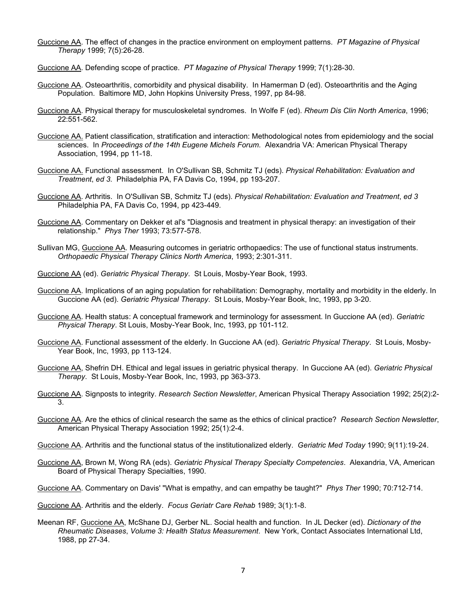- Guccione AA. The effect of changes in the practice environment on employment patterns. *PT Magazine of Physical Therapy* 1999; 7(5):26-28.
- Guccione AA. Defending scope of practice. *PT Magazine of Physical Therapy* 1999; 7(1):28-30.
- Guccione AA. Osteoarthritis, comorbidity and physical disability. In Hamerman D (ed). Osteoarthritis and the Aging Population. Baltimore MD, John Hopkins University Press, 1997, pp 84-98.
- Guccione AA. Physical therapy for musculoskeletal syndromes. In Wolfe F (ed). *Rheum Dis Clin North America*, 1996; 22:551-562.
- Guccione AA. Patient classification, stratification and interaction: Methodological notes from epidemiology and the social sciences. In *Proceedings of the 14th Eugene Michels Forum*. Alexandria VA: American Physical Therapy Association, 1994, pp 11-18.
- Guccione AA. Functional assessment. In O'Sullivan SB, Schmitz TJ (eds). *Physical Rehabilitation: Evaluation and Treatment*, *ed 3*. Philadelphia PA, FA Davis Co, 1994, pp 193-207.
- Guccione AA. Arthritis. In O'Sullivan SB, Schmitz TJ (eds). *Physical Rehabilitation: Evaluation and Treatment*, *ed 3*  Philadelphia PA, FA Davis Co, 1994, pp 423-449.
- Guccione AA. Commentary on Dekker et al's "Diagnosis and treatment in physical therapy: an investigation of their relationship." *Phys Ther* 1993; 73:577-578.
- Sullivan MG, Guccione AA. Measuring outcomes in geriatric orthopaedics: The use of functional status instruments. *Orthopaedic Physical Therapy Clinics North America*, 1993; 2:301-311.
- Guccione AA (ed). *Geriatric Physical Therapy*. St Louis, Mosby-Year Book, 1993.
- Guccione AA. Implications of an aging population for rehabilitation: Demography, mortality and morbidity in the elderly. In Guccione AA (ed). *Geriatric Physical Therapy*. St Louis, Mosby-Year Book, Inc, 1993, pp 3-20.
- Guccione AA. Health status: A conceptual framework and terminology for assessment. In Guccione AA (ed). *Geriatric Physical Therapy*. St Louis, Mosby-Year Book, Inc, 1993, pp 101-112.
- Guccione AA. Functional assessment of the elderly. In Guccione AA (ed). *Geriatric Physical Therapy*. St Louis, Mosby-Year Book, Inc, 1993, pp 113-124.
- Guccione AA, Shefrin DH. Ethical and legal issues in geriatric physical therapy. In Guccione AA (ed). *Geriatric Physical Therapy*. St Louis, Mosby-Year Book, Inc, 1993, pp 363-373.
- Guccione AA. Signposts to integrity. *Research Section Newsletter*, American Physical Therapy Association 1992; 25(2):2- 3.
- Guccione AA. Are the ethics of clinical research the same as the ethics of clinical practice? *Research Section Newsletter*, American Physical Therapy Association 1992; 25(1):2-4.
- Guccione AA. Arthritis and the functional status of the institutionalized elderly. *Geriatric Med Today* 1990; 9(11):19-24.
- Guccione AA, Brown M, Wong RA (eds). *Geriatric Physical Therapy Specialty Competencies*. Alexandria, VA, American Board of Physical Therapy Specialties, 1990.
- Guccione AA. Commentary on Davis' "What is empathy, and can empathy be taught?" *Phys Ther* 1990; 70:712-714.

Guccione AA. Arthritis and the elderly. *Focus Geriatr Care Rehab* 1989; 3(1):1-8.

Meenan RF, Guccione AA, McShane DJ, Gerber NL. Social health and function. In JL Decker (ed). *Dictionary of the Rheumatic Diseases*, *Volume 3: Health Status Measurement*. New York, Contact Associates International Ltd, 1988, pp 27-34.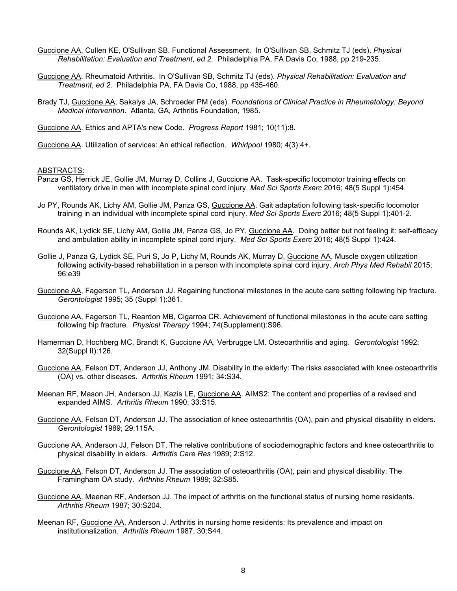- Guccione AA, Cullen KE, O'Sullivan SB. Functional Assessment. In O'Sullivan SB, Schmitz TJ (eds). *Physical Rehabilitation: Evaluation and Treatment*, *ed 2*. Philadelphia PA, FA Davis Co, 1988, pp 219-235.
- Guccione AA. Rheumatoid Arthritis. In O'Sullivan SB, Schmitz TJ (eds). *Physical Rehabilitation: Evaluation and Treatment*, *ed 2*. Philadelphia PA, FA Davis Co, 1988, pp 435-460.
- Brady TJ, Guccione AA, Sakalys JA, Schroeder PM (eds). *Foundations of Clinical Practice in Rheumatology: Beyond Medical Intervention*. Atlanta, GA, Arthritis Foundation, 1985.

Guccione AA. Ethics and APTA's new Code. *Progress Report* 1981; 10(11):8.

Guccione AA. Utilization of services: An ethical reflection. *Whirlpool* 1980; 4(3):4+.

#### ABSTRACTS:

- Panza GS, Herrick JE, Gollie JM, Murray D, Collins J, Guccione AA. Task-specific locomotor training effects on ventilatory drive in men with incomplete spinal cord injury. *Med Sci Sports Exerc* 2016; 48(5 Suppl 1):454.
- Jo PY, Rounds AK, Lichy AM, Gollie JM, Panza GS, Guccione AA. Gait adaptation following task-specific locomotor training in an individual with incomplete spinal cord injury. *Med Sci Sports Exerc* 2016; 48(5 Suppl 1):401-2.
- Rounds AK, Lydick SE, Lichy AM, Gollie JM, Panza GS, Jo PY, Guccione AA. Doing better but not feeling it: self-efficacy and ambulation ability in incomplete spinal cord injury. *Med Sci Sports Exerc* 2016; 48(5 Suppl 1):424.
- Gollie J, Panza G, Lydick SE, Puri S, Jo P, Lichy M, Rounds AK, Murray D, Guccione AA. Muscle oxygen utilization following activity-based rehabilitation in a person with incomplete spinal cord injury. *Arch Phys Med Rehabil* 2015; 96:e39
- Guccione AA, Fagerson TL, Anderson JJ. Regaining functional milestones in the acute care setting following hip fracture. *Gerontologist* 1995; 35 (Suppl 1):361.
- Guccione AA, Fagerson TL, Reardon MB, Cigarroa CR. Achievement of functional milestones in the acute care setting following hip fracture. *Physical Therapy* 1994; 74(Supplement):S96.
- Hamerman D, Hochberg MC, Brandt K, Guccione AA, Verbrugge LM. Osteoarthritis and aging. *Gerontologist* 1992; 32(Suppl II):126.
- Guccione AA, Felson DT, Anderson JJ, Anthony JM. Disability in the elderly: The risks associated with knee osteoarthritis (OA) vs. other diseases. *Arthritis Rheum* 1991; 34:S34.
- Meenan RF, Mason JH, Anderson JJ, Kazis LE, Guccione AA. AIMS2: The content and properties of a revised and expanded AIMS. *Arthritis Rheum* 1990; 33:S15.
- Guccione AA, Felson DT, Anderson JJ. The association of knee osteoarthritis (OA), pain and physical disability in elders. *Gerontologist* 1989; 29:115A.
- Guccione AA, Anderson JJ, Felson DT. The relative contributions of sociodemographic factors and knee osteoarthritis to physical disability in elders. *Arthritis Care Res* 1989; 2:S12.
- Guccione AA, Felson DT, Anderson JJ. The association of osteoarthritis (OA), pain and physical disability: The Framingham OA study. *Arthritis Rheum* 1989; 32:S85.
- Guccione AA, Meenan RF, Anderson JJ. The impact of arthritis on the functional status of nursing home residents. *Arthritis Rheum* 1987; 30:S204.
- Meenan RF, Guccione AA, Anderson J. Arthritis in nursing home residents: Its prevalence and impact on institutionalization. *Arthritis Rheum* 1987; 30:S44.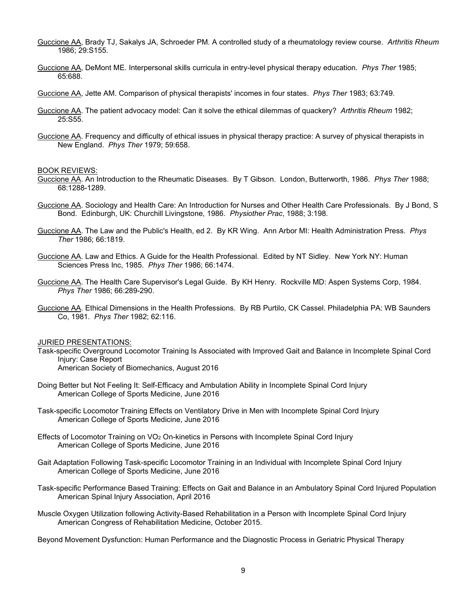- Guccione AA, Brady TJ, Sakalys JA, Schroeder PM. A controlled study of a rheumatology review course. *Arthritis Rheum* 1986; 29:S155.
- Guccione AA, DeMont ME. Interpersonal skills curricula in entry-level physical therapy education. *Phys Ther* 1985; 65:688.
- Guccione AA, Jette AM. Comparison of physical therapists' incomes in four states. *Phys Ther* 1983; 63:749.
- Guccione AA. The patient advocacy model: Can it solve the ethical dilemmas of quackery? *Arthritis Rheum* 1982; 25:S55.
- Guccione AA. Frequency and difficulty of ethical issues in physical therapy practice: A survey of physical therapists in New England. *Phys Ther* 1979; 59:658.

#### BOOK REVIEWS:

- Guccione AA. An Introduction to the Rheumatic Diseases. By T Gibson. London, Butterworth, 1986. *Phys Ther* 1988; 68:1288-1289.
- Guccione AA. Sociology and Health Care: An Introduction for Nurses and Other Health Care Professionals. By J Bond, S Bond. Edinburgh, UK: Churchill Livingstone, 1986. *Physiother Prac*, 1988; 3:198.
- Guccione AA. The Law and the Public's Health, ed 2. By KR Wing. Ann Arbor MI: Health Administration Press. *Phys Ther* 1986; 66:1819.
- Guccione AA. Law and Ethics. A Guide for the Health Professional. Edited by NT Sidley. New York NY: Human Sciences Press Inc, 1985. *Phys Ther* 1986; 66:1474.
- Guccione AA. The Health Care Supervisor's Legal Guide. By KH Henry. Rockville MD: Aspen Systems Corp, 1984. *Phys Ther* 1986; 66:289-290.
- Guccione AA. Ethical Dimensions in the Health Professions. By RB Purtilo, CK Cassel. Philadelphia PA: WB Saunders Co, 1981. *Phys Ther* 1982; 62:116.

#### JURIED PRESENTATIONS:

- Task-specific Overground Locomotor Training Is Associated with Improved Gait and Balance in Incomplete Spinal Cord Injury: Case Report American Society of Biomechanics, August 2016
- Doing Better but Not Feeling It: Self-Efficacy and Ambulation Ability in Incomplete Spinal Cord Injury American College of Sports Medicine, June 2016
- Task-specific Locomotor Training Effects on Ventilatory Drive in Men with Incomplete Spinal Cord Injury American College of Sports Medicine, June 2016
- Effects of Locomotor Training on VO2 On-kinetics in Persons with Incomplete Spinal Cord Injury American College of Sports Medicine, June 2016
- Gait Adaptation Following Task-specific Locomotor Training in an Individual with Incomplete Spinal Cord Injury American College of Sports Medicine, June 2016
- Task-specific Performance Based Training: Effects on Gait and Balance in an Ambulatory Spinal Cord Injured Population American Spinal Injury Association, April 2016
- Muscle Oxygen Utilization following Activity-Based Rehabilitation in a Person with Incomplete Spinal Cord Injury American Congress of Rehabilitation Medicine, October 2015.

Beyond Movement Dysfunction: Human Performance and the Diagnostic Process in Geriatric Physical Therapy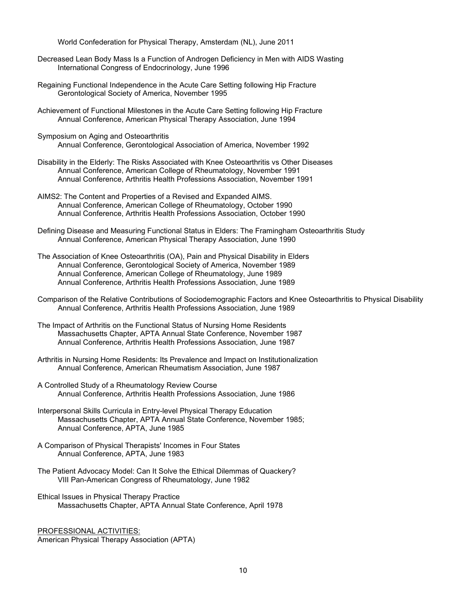World Confederation for Physical Therapy, Amsterdam (NL), June 2011

- Decreased Lean Body Mass Is a Function of Androgen Deficiency in Men with AIDS Wasting International Congress of Endocrinology, June 1996
- Regaining Functional Independence in the Acute Care Setting following Hip Fracture Gerontological Society of America, November 1995
- Achievement of Functional Milestones in the Acute Care Setting following Hip Fracture Annual Conference, American Physical Therapy Association, June 1994
- Symposium on Aging and Osteoarthritis Annual Conference, Gerontological Association of America, November 1992
- Disability in the Elderly: The Risks Associated with Knee Osteoarthritis vs Other Diseases Annual Conference, American College of Rheumatology, November 1991 Annual Conference, Arthritis Health Professions Association, November 1991
- AIMS2: The Content and Properties of a Revised and Expanded AIMS. Annual Conference, American College of Rheumatology, October 1990 Annual Conference, Arthritis Health Professions Association, October 1990
- Defining Disease and Measuring Functional Status in Elders: The Framingham Osteoarthritis Study Annual Conference, American Physical Therapy Association, June 1990
- The Association of Knee Osteoarthritis (OA), Pain and Physical Disability in Elders Annual Conference, Gerontological Society of America, November 1989 Annual Conference, American College of Rheumatology, June 1989 Annual Conference, Arthritis Health Professions Association, June 1989
- Comparison of the Relative Contributions of Sociodemographic Factors and Knee Osteoarthritis to Physical Disability Annual Conference, Arthritis Health Professions Association, June 1989
- The Impact of Arthritis on the Functional Status of Nursing Home Residents Massachusetts Chapter, APTA Annual State Conference, November 1987 Annual Conference, Arthritis Health Professions Association, June 1987
- Arthritis in Nursing Home Residents: Its Prevalence and Impact on Institutionalization Annual Conference, American Rheumatism Association, June 1987
- A Controlled Study of a Rheumatology Review Course Annual Conference, Arthritis Health Professions Association, June 1986
- Interpersonal Skills Curricula in Entry-level Physical Therapy Education Massachusetts Chapter, APTA Annual State Conference, November 1985; Annual Conference, APTA, June 1985
- A Comparison of Physical Therapists' Incomes in Four States Annual Conference, APTA, June 1983
- The Patient Advocacy Model: Can It Solve the Ethical Dilemmas of Quackery? VIII Pan-American Congress of Rheumatology, June 1982
- Ethical Issues in Physical Therapy Practice Massachusetts Chapter, APTA Annual State Conference, April 1978

PROFESSIONAL ACTIVITIES: American Physical Therapy Association (APTA)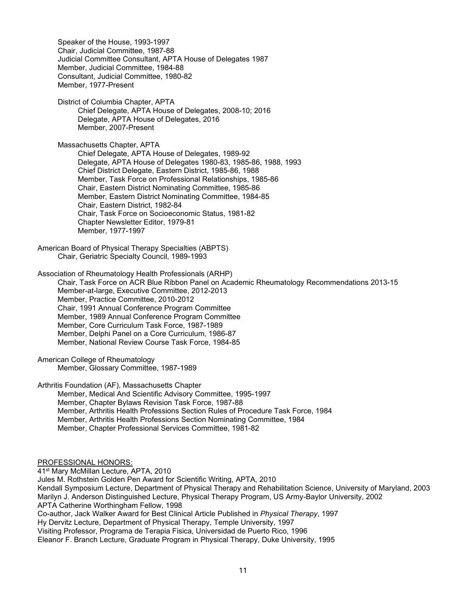Speaker of the House, 1993-1997 Chair, Judicial Committee, 1987-88 Judicial Committee Consultant, APTA House of Delegates 1987 Member, Judicial Committee, 1984-88 Consultant, Judicial Committee, 1980-82 Member, 1977-Present

District of Columbia Chapter, APTA Chief Delegate, APTA House of Delegates, 2008-10; 2016 Delegate, APTA House of Delegates, 2016 Member, 2007-Present

Massachusetts Chapter, APTA Chief Delegate, APTA House of Delegates, 1989-92 Delegate, APTA House of Delegates 1980-83, 1985-86, 1988, 1993 Chief District Delegate, Eastern District, 1985-86, 1988 Member, Task Force on Professional Relationships, 1985-86 Chair, Eastern District Nominating Committee, 1985-86 Member, Eastern District Nominating Committee, 1984-85 Chair, Eastern District, 1982-84 Chair, Task Force on Socioeconomic Status, 1981-82 Chapter Newsletter Editor, 1979-81 Member, 1977-1997

American Board of Physical Therapy Specialties (ABPTS) Chair, Geriatric Specialty Council, 1989-1993

Association of Rheumatology Health Professionals (ARHP) Chair, Task Force on ACR Blue Ribbon Panel on Academic Rheumatology Recommendations 2013-15 Member-at-large, Executive Committee, 2012-2013 Member, Practice Committee, 2010-2012 Chair, 1991 Annual Conference Program Committee Member, 1989 Annual Conference Program Committee Member, Core Curriculum Task Force, 1987-1989 Member, Delphi Panel on a Core Curriculum, 1986-87 Member, National Review Course Task Force, 1984-85

American College of Rheumatology Member, Glossary Committee, 1987-1989

Arthritis Foundation (AF), Massachusetts Chapter

Member, Medical And Scientific Advisory Committee, 1995-1997 Member, Chapter Bylaws Revision Task Force, 1987-88 Member, Arthritis Health Professions Section Rules of Procedure Task Force, 1984 Member, Arthritis Health Professions Section Nominating Committee, 1984 Member, Chapter Professional Services Committee, 1981-82

PROFESSIONAL HONORS:

41st Mary McMillan Lecture, APTA, 2010 Jules M. Rothstein Golden Pen Award for Scientific Writing, APTA, 2010 Kendall Symposium Lecture, Department of Physical Therapy and Rehabilitation Science, University of Maryland, 2003 Marilyn J. Anderson Distinguished Lecture, Physical Therapy Program, US Army-Baylor University, 2002 APTA Catherine Worthingham Fellow, 1998 Co-author, Jack Walker Award for Best Clinical Article Published in *Physical Therapy*, 1997 Hy Dervitz Lecture, Department of Physical Therapy, Temple University, 1997 Visiting Professor, Programa de Terapia Fisica, Universidad de Puerto Rico, 1996 Eleanor F. Branch Lecture, Graduate Program in Physical Therapy, Duke University, 1995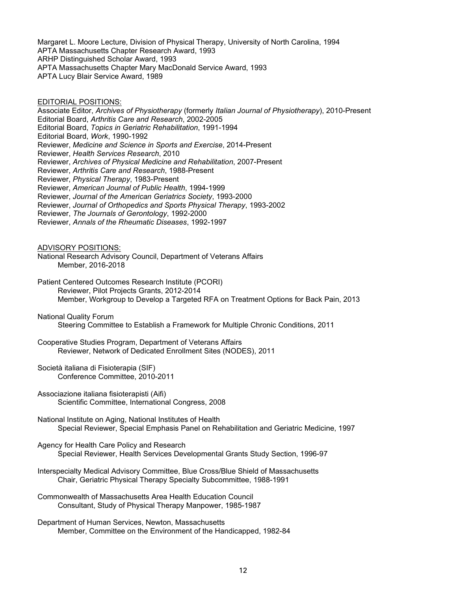Margaret L. Moore Lecture, Division of Physical Therapy, University of North Carolina, 1994 APTA Massachusetts Chapter Research Award, 1993 ARHP Distinguished Scholar Award, 1993 APTA Massachusetts Chapter Mary MacDonald Service Award, 1993 APTA Lucy Blair Service Award, 1989

## EDITORIAL POSITIONS:

Associate Editor, *Archives of Physiotherapy* (formerly *Italian Journal of Physiotherapy*), 2010-Present Editorial Board, *Arthritis Care and Research*, 2002-2005 Editorial Board, *Topics in Geriatric Rehabilitation*, 1991-1994 Editorial Board, *Work*, 1990-1992 Reviewer, *Medicine and Science in Sports and Exercise*, 2014-Present Reviewer, *Health Services Research*, 2010 Reviewer, *Archives of Physical Medicine and Rehabilitation*, 2007-Present Reviewer, *Arthritis Care and Research*, 1988-Present Reviewer, *Physical Therapy*, 1983-Present Reviewer, *American Journal of Public Health*, 1994-1999 Reviewer, *Journal of the American Geriatrics Society*, 1993-2000 Reviewer, *Journal of Orthopedics and Sports Physical Therapy*, 1993-2002 Reviewer, *The Journals of Gerontology*, 1992-2000

Reviewer, *Annals of the Rheumatic Diseases*, 1992-1997

ADVISORY POSITIONS:

National Research Advisory Council, Department of Veterans Affairs Member, 2016-2018

Patient Centered Outcomes Research Institute (PCORI) Reviewer, Pilot Projects Grants, 2012-2014 Member, Workgroup to Develop a Targeted RFA on Treatment Options for Back Pain, 2013

National Quality Forum

Steering Committee to Establish a Framework for Multiple Chronic Conditions, 2011

Cooperative Studies Program, Department of Veterans Affairs Reviewer, Network of Dedicated Enrollment Sites (NODES), 2011

Società italiana di Fisioterapia (SIF) Conference Committee, 2010-2011

Associazione italiana fisioterapisti (Aifi) Scientific Committee, International Congress, 2008

National Institute on Aging, National Institutes of Health Special Reviewer, Special Emphasis Panel on Rehabilitation and Geriatric Medicine, 1997

Agency for Health Care Policy and Research Special Reviewer, Health Services Developmental Grants Study Section, 1996-97

Interspecialty Medical Advisory Committee, Blue Cross/Blue Shield of Massachusetts Chair, Geriatric Physical Therapy Specialty Subcommittee, 1988-1991

Commonwealth of Massachusetts Area Health Education Council Consultant, Study of Physical Therapy Manpower, 1985-1987

Department of Human Services, Newton, Massachusetts Member, Committee on the Environment of the Handicapped, 1982-84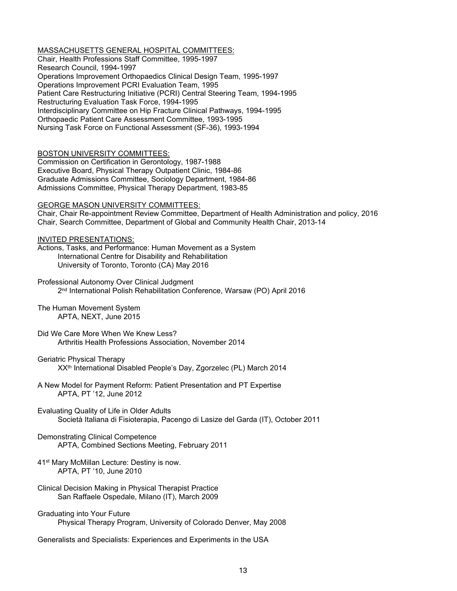MASSACHUSETTS GENERAL HOSPITAL COMMITTEES: Chair, Health Professions Staff Committee, 1995-1997 Research Council, 1994-1997 Operations Improvement Orthopaedics Clinical Design Team, 1995-1997 Operations Improvement PCRI Evaluation Team, 1995 Patient Care Restructuring Initiative (PCRI) Central Steering Team, 1994-1995 Restructuring Evaluation Task Force, 1994-1995 Interdisciplinary Committee on Hip Fracture Clinical Pathways, 1994-1995 Orthopaedic Patient Care Assessment Committee, 1993-1995 Nursing Task Force on Functional Assessment (SF-36), 1993-1994

## BOSTON UNIVERSITY COMMITTEES:

Commission on Certification in Gerontology, 1987-1988 Executive Board, Physical Therapy Outpatient Clinic, 1984-86 Graduate Admissions Committee, Sociology Department, 1984-86 Admissions Committee, Physical Therapy Department, 1983-85

## GEORGE MASON UNIVERSITY COMMITTEES:

Chair, Chair Re-appointment Review Committee, Department of Health Administration and policy, 2016 Chair, Search Committee, Department of Global and Community Health Chair, 2013-14

## INVITED PRESENTATIONS:

Actions, Tasks, and Performance: Human Movement as a System International Centre for Disability and Rehabilitation University of Toronto, Toronto (CA) May 2016

Professional Autonomy Over Clinical Judgment 2nd International Polish Rehabilitation Conference, Warsaw (PO) April 2016

## The Human Movement System APTA, NEXT, June 2015

- Did We Care More When We Knew Less? Arthritis Health Professions Association, November 2014
- Geriatric Physical Therapy XXth International Disabled People's Day, Zgorzelec (PL) March 2014
- A New Model for Payment Reform: Patient Presentation and PT Expertise APTA, PT '12, June 2012
- Evaluating Quality of Life in Older Adults Società Italiana di Fisioterapia, Pacengo di Lasize del Garda (IT), October 2011

#### Demonstrating Clinical Competence APTA, Combined Sections Meeting, February 2011

- 41st Mary McMillan Lecture: Destiny is now. APTA, PT '10, June 2010
- Clinical Decision Making in Physical Therapist Practice San Raffaele Ospedale, Milano (IT), March 2009
- Graduating into Your Future Physical Therapy Program, University of Colorado Denver, May 2008

Generalists and Specialists: Experiences and Experiments in the USA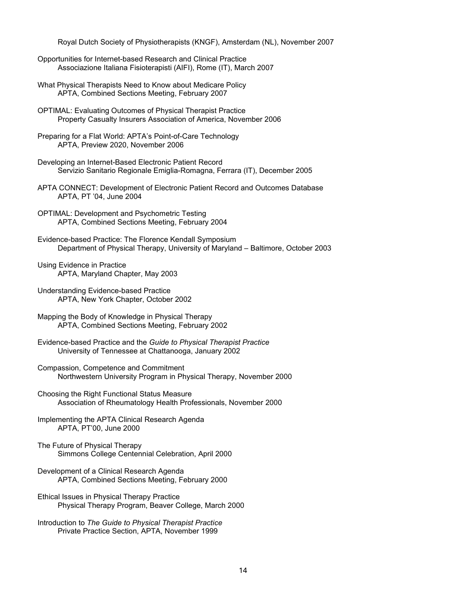Royal Dutch Society of Physiotherapists (KNGF), Amsterdam (NL), November 2007

- Opportunities for Internet-based Research and Clinical Practice Associazione Italiana Fisioterapisti (AIFI), Rome (IT), March 2007
- What Physical Therapists Need to Know about Medicare Policy APTA, Combined Sections Meeting, February 2007
- OPTIMAL: Evaluating Outcomes of Physical Therapist Practice Property Casualty Insurers Association of America, November 2006
- Preparing for a Flat World: APTA's Point-of-Care Technology APTA, Preview 2020, November 2006
- Developing an Internet-Based Electronic Patient Record Servizio Sanitario Regionale Emiglia-Romagna, Ferrara (IT), December 2005
- APTA CONNECT: Development of Electronic Patient Record and Outcomes Database APTA, PT '04, June 2004
- OPTIMAL: Development and Psychometric Testing APTA, Combined Sections Meeting, February 2004
- Evidence-based Practice: The Florence Kendall Symposium Department of Physical Therapy, University of Maryland – Baltimore, October 2003
- Using Evidence in Practice APTA, Maryland Chapter, May 2003
- Understanding Evidence-based Practice APTA, New York Chapter, October 2002
- Mapping the Body of Knowledge in Physical Therapy APTA, Combined Sections Meeting, February 2002
- Evidence-based Practice and the *Guide to Physical Therapist Practice* University of Tennessee at Chattanooga, January 2002
- Compassion, Competence and Commitment Northwestern University Program in Physical Therapy, November 2000
- Choosing the Right Functional Status Measure Association of Rheumatology Health Professionals, November 2000
- Implementing the APTA Clinical Research Agenda APTA, PT'00, June 2000
- The Future of Physical Therapy Simmons College Centennial Celebration, April 2000
- Development of a Clinical Research Agenda APTA, Combined Sections Meeting, February 2000
- Ethical Issues in Physical Therapy Practice Physical Therapy Program, Beaver College, March 2000
- Introduction to *The Guide to Physical Therapist Practice* Private Practice Section, APTA, November 1999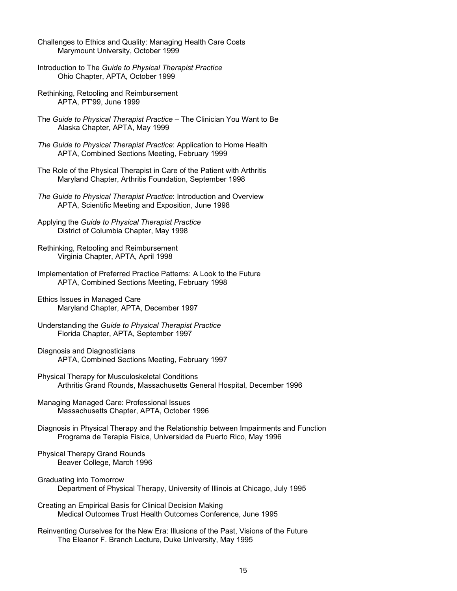- Challenges to Ethics and Quality: Managing Health Care Costs Marymount University, October 1999
- Introduction to The *Guide to Physical Therapist Practice* Ohio Chapter, APTA, October 1999
- Rethinking, Retooling and Reimbursement APTA, PT'99, June 1999
- The *Guide to Physical Therapist Practice* The Clinician You Want to Be Alaska Chapter, APTA, May 1999
- *The Guide to Physical Therapist Practice*: Application to Home Health APTA, Combined Sections Meeting, February 1999
- The Role of the Physical Therapist in Care of the Patient with Arthritis Maryland Chapter, Arthritis Foundation, September 1998
- *The Guide to Physical Therapist Practice*: Introduction and Overview APTA, Scientific Meeting and Exposition, June 1998
- Applying the *Guide to Physical Therapist Practice* District of Columbia Chapter, May 1998
- Rethinking, Retooling and Reimbursement Virginia Chapter, APTA, April 1998
- Implementation of Preferred Practice Patterns: A Look to the Future APTA, Combined Sections Meeting, February 1998
- Ethics Issues in Managed Care Maryland Chapter, APTA, December 1997
- Understanding the *Guide to Physical Therapist Practice* Florida Chapter, APTA, September 1997
- Diagnosis and Diagnosticians APTA, Combined Sections Meeting, February 1997
- Physical Therapy for Musculoskeletal Conditions Arthritis Grand Rounds, Massachusetts General Hospital, December 1996
- Managing Managed Care: Professional Issues Massachusetts Chapter, APTA, October 1996
- Diagnosis in Physical Therapy and the Relationship between Impairments and Function Programa de Terapia Fisica, Universidad de Puerto Rico, May 1996
- Physical Therapy Grand Rounds Beaver College, March 1996
- Graduating into Tomorrow Department of Physical Therapy, University of Illinois at Chicago, July 1995
- Creating an Empirical Basis for Clinical Decision Making Medical Outcomes Trust Health Outcomes Conference, June 1995
- Reinventing Ourselves for the New Era: Illusions of the Past, Visions of the Future The Eleanor F. Branch Lecture, Duke University, May 1995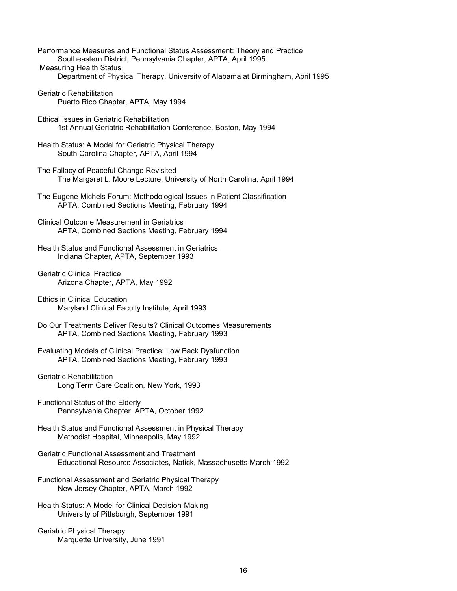| Performance Measures and Functional Status Assessment: Theory and Practice      |
|---------------------------------------------------------------------------------|
| Southeastern District, Pennsylvania Chapter, APTA, April 1995                   |
| <b>Measuring Health Status</b>                                                  |
| Department of Physical Therapy, University of Alabama at Birmingham, April 1995 |
| Geriatric Rehabilitation<br>Puerto Rico Chapter, APTA, May 1994                 |
|                                                                                 |

- Ethical Issues in Geriatric Rehabilitation 1st Annual Geriatric Rehabilitation Conference, Boston, May 1994
- Health Status: A Model for Geriatric Physical Therapy South Carolina Chapter, APTA, April 1994
- The Fallacy of Peaceful Change Revisited The Margaret L. Moore Lecture, University of North Carolina, April 1994
- The Eugene Michels Forum: Methodological Issues in Patient Classification APTA, Combined Sections Meeting, February 1994
- Clinical Outcome Measurement in Geriatrics APTA, Combined Sections Meeting, February 1994
- Health Status and Functional Assessment in Geriatrics Indiana Chapter, APTA, September 1993
- Geriatric Clinical Practice Arizona Chapter, APTA, May 1992
- Ethics in Clinical Education Maryland Clinical Faculty Institute, April 1993
- Do Our Treatments Deliver Results? Clinical Outcomes Measurements APTA, Combined Sections Meeting, February 1993
- Evaluating Models of Clinical Practice: Low Back Dysfunction APTA, Combined Sections Meeting, February 1993
- Geriatric Rehabilitation Long Term Care Coalition, New York, 1993
- Functional Status of the Elderly Pennsylvania Chapter, APTA, October 1992
- Health Status and Functional Assessment in Physical Therapy Methodist Hospital, Minneapolis, May 1992
- Geriatric Functional Assessment and Treatment Educational Resource Associates, Natick, Massachusetts March 1992
- Functional Assessment and Geriatric Physical Therapy New Jersey Chapter, APTA, March 1992
- Health Status: A Model for Clinical Decision-Making University of Pittsburgh, September 1991
- Geriatric Physical Therapy Marquette University, June 1991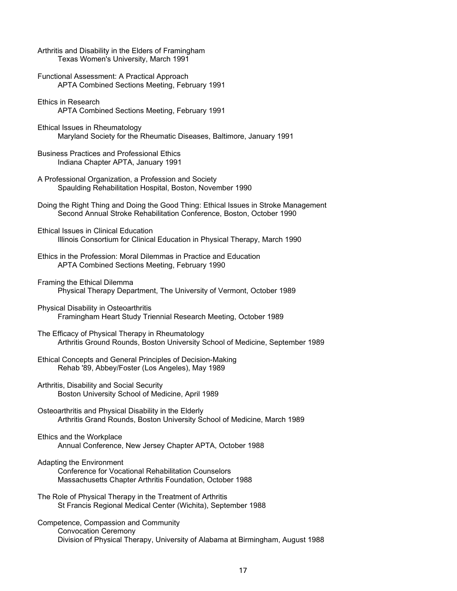| Arthritis and Disability in the Elders of Framingham<br>Texas Women's University, March 1991                                                                |
|-------------------------------------------------------------------------------------------------------------------------------------------------------------|
| Functional Assessment: A Practical Approach<br>APTA Combined Sections Meeting, February 1991                                                                |
| <b>Ethics in Research</b><br>APTA Combined Sections Meeting, February 1991                                                                                  |
| Ethical Issues in Rheumatology<br>Maryland Society for the Rheumatic Diseases, Baltimore, January 1991                                                      |
| <b>Business Practices and Professional Ethics</b><br>Indiana Chapter APTA, January 1991                                                                     |
| A Professional Organization, a Profession and Society<br>Spaulding Rehabilitation Hospital, Boston, November 1990                                           |
| Doing the Right Thing and Doing the Good Thing: Ethical Issues in Stroke Management<br>Second Annual Stroke Rehabilitation Conference, Boston, October 1990 |
| <b>Ethical Issues in Clinical Education</b><br>Illinois Consortium for Clinical Education in Physical Therapy, March 1990                                   |
| Ethics in the Profession: Moral Dilemmas in Practice and Education<br>APTA Combined Sections Meeting, February 1990                                         |
| Framing the Ethical Dilemma<br>Physical Therapy Department, The University of Vermont, October 1989                                                         |
| Physical Disability in Osteoarthritis<br>Framingham Heart Study Triennial Research Meeting, October 1989                                                    |
| The Efficacy of Physical Therapy in Rheumatology<br>Arthritis Ground Rounds, Boston University School of Medicine, September 1989                           |
| Ethical Concepts and General Principles of Decision-Making<br>Rehab '89, Abbey/Foster (Los Angeles), May 1989                                               |
| Arthritis, Disability and Social Security<br>Boston University School of Medicine, April 1989                                                               |
| Osteoarthritis and Physical Disability in the Elderly<br>Arthritis Grand Rounds, Boston University School of Medicine, March 1989                           |
| Ethics and the Workplace<br>Annual Conference, New Jersey Chapter APTA, October 1988                                                                        |
| Adapting the Environment<br><b>Conference for Vocational Rehabilitation Counselors</b><br>Massachusetts Chapter Arthritis Foundation, October 1988          |
| The Role of Physical Therapy in the Treatment of Arthritis<br>St Francis Regional Medical Center (Wichita), September 1988                                  |
| Competence, Compassion and Community<br><b>Convocation Ceremony</b><br>Division of Physical Therapy, University of Alabama at Birmingham, August 1988       |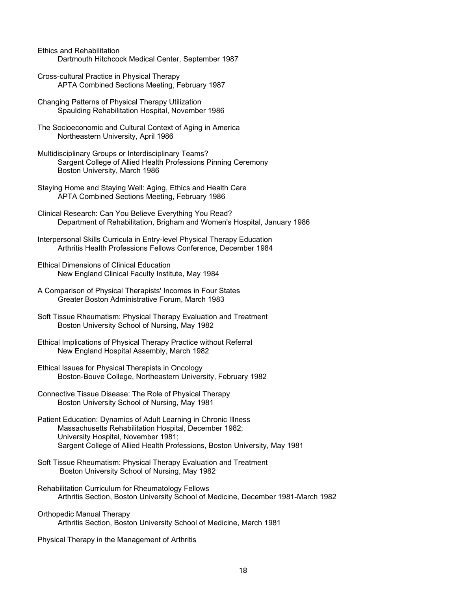Ethics and Rehabilitation Dartmouth Hitchcock Medical Center, September 1987

- Cross-cultural Practice in Physical Therapy APTA Combined Sections Meeting, February 1987
- Changing Patterns of Physical Therapy Utilization Spaulding Rehabilitation Hospital, November 1986
- The Socioeconomic and Cultural Context of Aging in America Northeastern University, April 1986
- Multidisciplinary Groups or Interdisciplinary Teams? Sargent College of Allied Health Professions Pinning Ceremony Boston University, March 1986
- Staying Home and Staying Well: Aging, Ethics and Health Care APTA Combined Sections Meeting, February 1986
- Clinical Research: Can You Believe Everything You Read? Department of Rehabilitation, Brigham and Women's Hospital, January 1986
- Interpersonal Skills Curricula in Entry-level Physical Therapy Education Arthritis Health Professions Fellows Conference, December 1984
- Ethical Dimensions of Clinical Education New England Clinical Faculty Institute, May 1984
- A Comparison of Physical Therapists' Incomes in Four States Greater Boston Administrative Forum, March 1983
- Soft Tissue Rheumatism: Physical Therapy Evaluation and Treatment Boston University School of Nursing, May 1982
- Ethical Implications of Physical Therapy Practice without Referral New England Hospital Assembly, March 1982
- Ethical Issues for Physical Therapists in Oncology Boston-Bouve College, Northeastern University, February 1982
- Connective Tissue Disease: The Role of Physical Therapy Boston University School of Nursing, May 1981
- Patient Education: Dynamics of Adult Learning in Chronic Illness Massachusetts Rehabilitation Hospital, December 1982; University Hospital, November 1981; Sargent College of Allied Health Professions, Boston University, May 1981
- Soft Tissue Rheumatism: Physical Therapy Evaluation and Treatment Boston University School of Nursing, May 1982
- Rehabilitation Curriculum for Rheumatology Fellows Arthritis Section, Boston University School of Medicine, December 1981-March 1982
- Orthopedic Manual Therapy Arthritis Section, Boston University School of Medicine, March 1981
- Physical Therapy in the Management of Arthritis